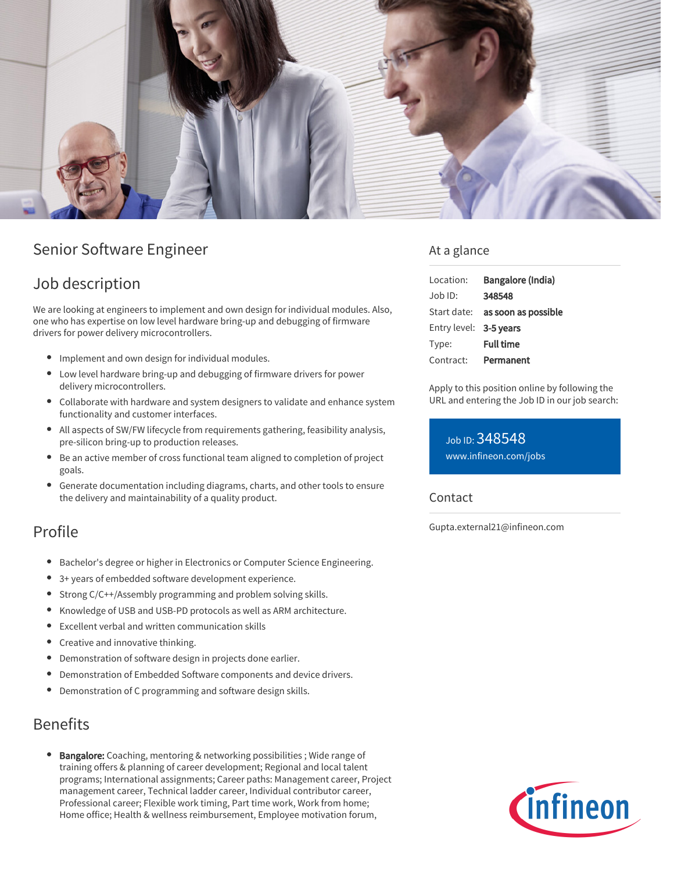

# Senior Software Engineer

## Job description

We are looking at engineers to implement and own design for individual modules. Also, one who has expertise on low level hardware bring-up and debugging of firmware drivers for power delivery microcontrollers.

- Implement and own design for individual modules.
- Low level hardware bring-up and debugging of firmware drivers for power delivery microcontrollers.
- Collaborate with hardware and system designers to validate and enhance system functionality and customer interfaces.
- All aspects of SW/FW lifecycle from requirements gathering, feasibility analysis, pre-silicon bring-up to production releases.
- Be an active member of cross functional team aligned to completion of project goals.
- Generate documentation including diagrams, charts, and other tools to ensure the delivery and maintainability of a quality product.

## Profile

- Bachelor's degree or higher in Electronics or Computer Science Engineering.
- 3+ years of embedded software development experience.
- Strong C/C++/Assembly programming and problem solving skills.
- Knowledge of USB and USB-PD protocols as well as ARM architecture.
- Excellent verbal and written communication skills  $\bullet$
- Creative and innovative thinking.
- $\bullet$ Demonstration of software design in projects done earlier.
- Demonstration of Embedded Software components and device drivers.
- Demonstration of C programming and software design skills.

### Benefits

Bangalore: Coaching, mentoring & networking possibilities ; Wide range of training offers & planning of career development; Regional and local talent programs; International assignments; Career paths: Management career, Project management career, Technical ladder career, Individual contributor career, Professional career; Flexible work timing, Part time work, Work from home; Home office; Health & wellness reimbursement, Employee motivation forum,

### At a glance

| Location:              | Bangalore (India)                      |
|------------------------|----------------------------------------|
| $Job$ ID:              | 348548                                 |
|                        | Start date: <b>as soon as possible</b> |
| Entry level: 3-5 years |                                        |
| Type:                  | <b>Full time</b>                       |
| Contract:              | Permanent                              |

Apply to this position online by following the URL and entering the Job ID in our job search:

Job ID: 348548 [www.infineon.com/jobs](https://www.infineon.com/jobs)

### Contact

Gupta.external21@infineon.com